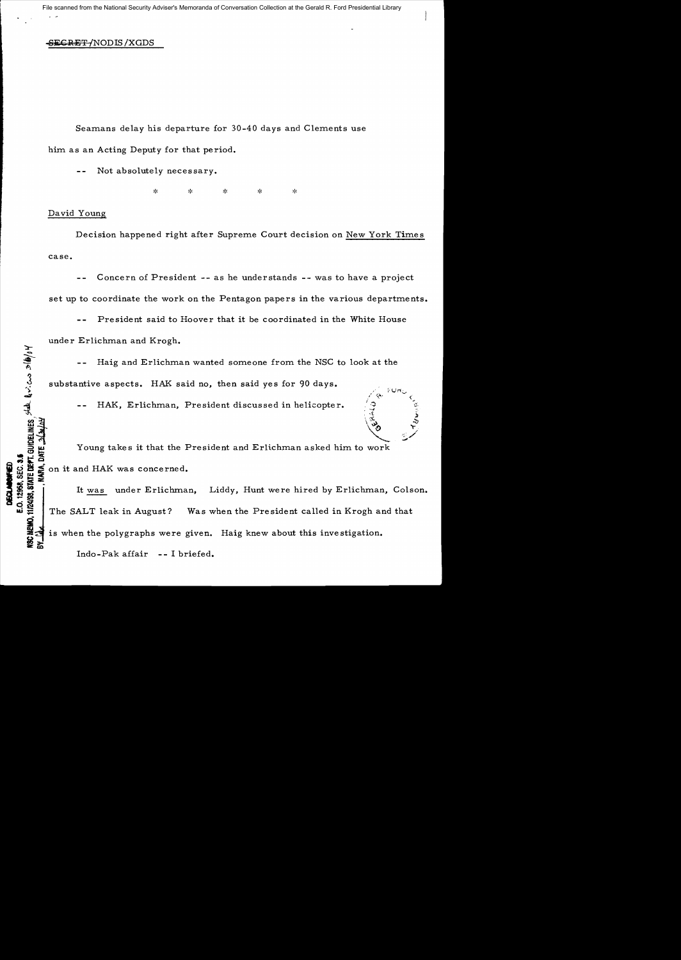## SEGRET / NODIS / XGDS

Seamans delay his departure for 30-40 days and Clements use him as an Acting Deputy for that period.

Not absolutely necessary.

ŵ  $\mathbf{x}$ 

## David Young

DISCLARSWHED<br>E.O. 12958, SEC. 3.5

Decision happened right after Supreme Court decision on New York Times case.

Concern of President **-** as he understands **-** was to have a project set up to coordinate the work on the Pentagon papers in the various departments.

President said to Hoover that it be coordinated in the White House under Erlichman and Krogh.

Haig and Erlichman wanted someone from the NSC to look at the substantive aspects. HAK said no, then said yes for 90 days.

HAK, Erlichman, President discussed in helicopter.

Young takes it that the President and Erlichman asked him to work<br>Section it and HAK was concerned.  $\vec{a}$  ,  $\vec{c}$  ,  $\vec{c}$ on it and HAK was concerned.

\* <del>X</del><br>\$ : i \* - It <u>was</u> under Erlichman, Liddy, Hunt were hired by Erlichman, Colson.<br>\* \* \* | 1 1t <u>was</u> under Erlichman, Liddy, Hunt were hired by Erlichman, Colson.  $\ddot{\mathbf{S}}$   $\ddot{\mathbf{S}}$ The SALT leak in August? Was when the President called in Krogh and that is when the polygraphs were given. Haig knew about this investigation.

Indo-Pak affair -- I briefed.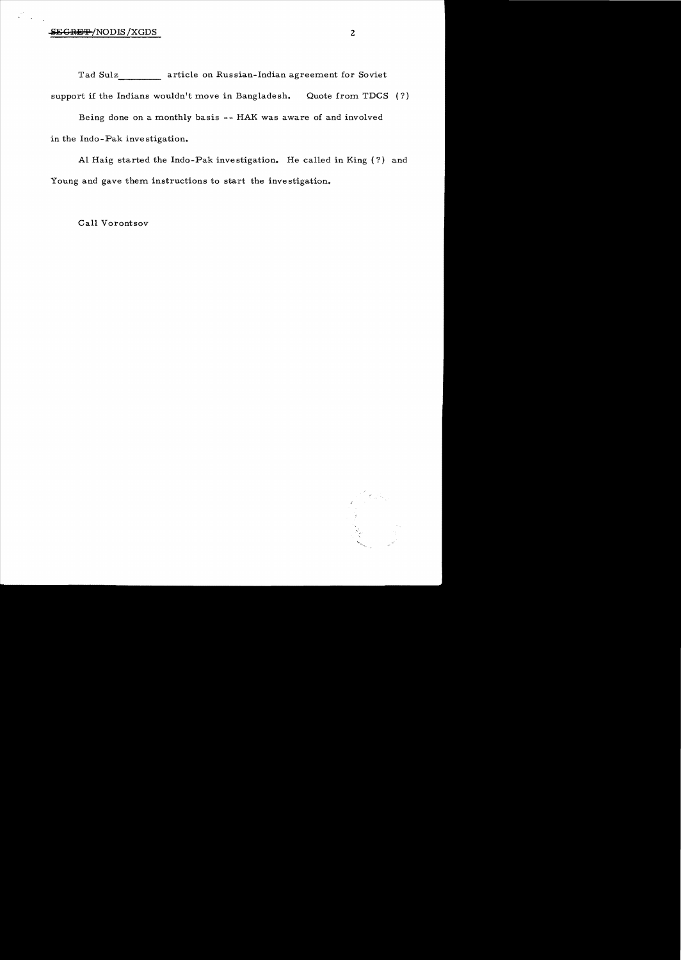Tad Sulz **article on Russian-Indian agreement for Soviet** support if the Indians wouldn't move in Bangladesh. Quote from TDCS  $(?)$ 

Being done on a monthly basis -- HAK was aware of and involved in the Indo - Pak inve stigation.

Al Haig started the Indo-Pak investigation. He called in King (?) and Young and gave them instructions to start the investigation.

Call Vorontsov

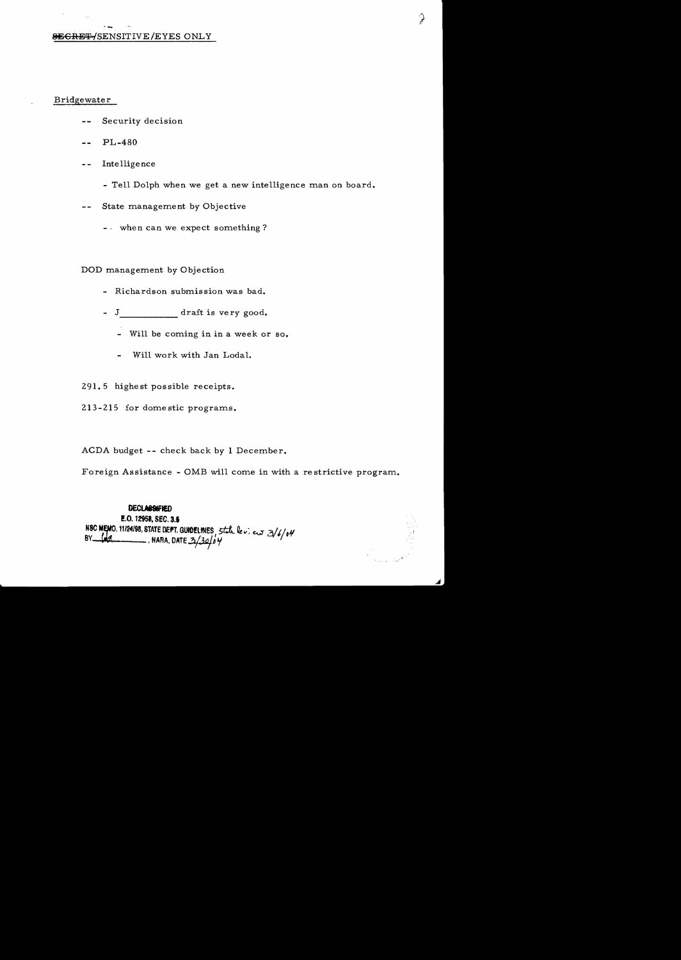## SEGRET/SENSITIVE/EYES ONLY

## Bridgewater

- Security decision
- **PL-480**
- Intelligence  $\sim$   $\sim$ 
	- Tell Dolph when we get a new intelligence man on board.
- State management by Objective  $\sim$   $\sim$ 
	- -- when can we expect something?

DOD management by Objection

- Richardson submission was bad.
- J\_\_\_\_\_\_\_\_\_\_\_\_\_ draft is very good.
	- Will be coming in in a week or so.
	- Will work with Jan Lodal.
- 291.5 highest possible receipts.
- 213-215 for domestic programs.

ACDA budget -- check back by 1 December.

Foreign Assistance - OMB will come in with a restrictive program.

**DECLASSIFIED** E.O. 12958, SEC. 3.5 NSC MEMO, 11/24/98, STATE DEPT. GUIDELINES, Stale lev. eur 3/6/04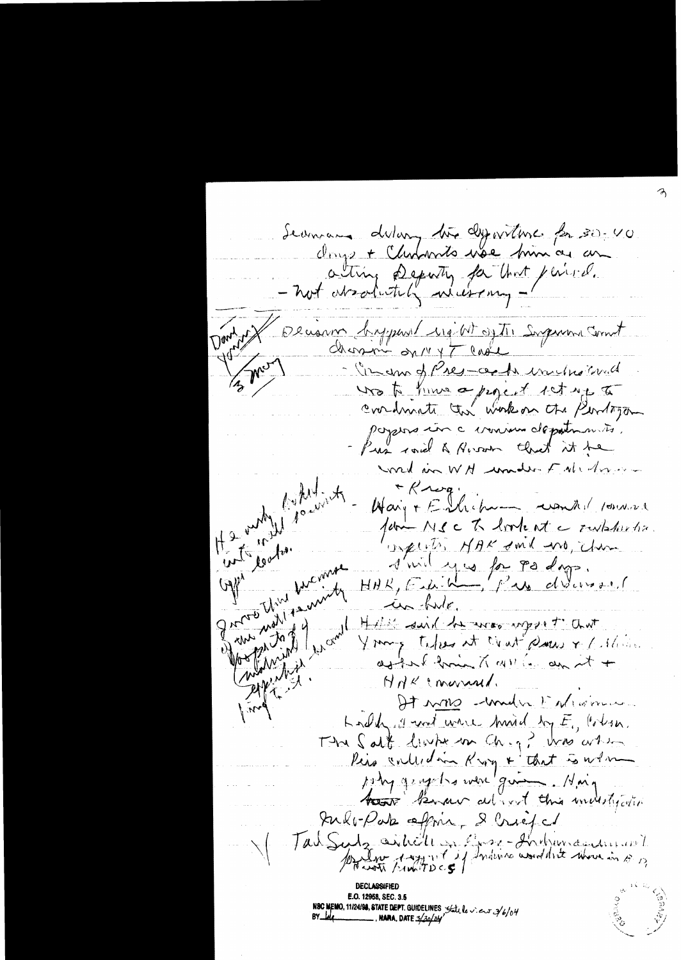Seamon delang the dyperture for 30-40 Onys + Chapmito use him as an - not discharged in that period. comm bypart up at ofthe Supreme Cornet  $d$  and  $\frac{1}{n}$  on  $\frac{1}{n}$  and  $\frac{1}{n}$ 13 Mars - In an of Pres acts inchorand wo to him a pigent ist up to conduinte the work on the Person paysins in a cronism depatin mits. Pus roid & River that it be Gpt looks . word in WH wonder Fall drive  $*$   $K - \alpha q$ . Hary + Enhibson wonder 10000 fam MSC To look at a revistantes. superts NAK don't no, chan grad thin himself d'uil yes for pa dags. things then you Company of the complete in hule. Moope, Jazz 9 Hill said he was uppet and Young teles at court pare + 1 show. askerf from X 411 (a an it + HAKCONNAI, It was mudic Enligence  $M_{\rm eff}$ Look of and were hird by E, Colsa. The Salt living on Chig? was arrived Pira controlain Kary + that is when Indoporte affine, & Criefel Tad Sudge aithell on Prose-Industriant

**IBC MEMO, 11/24/98, STATE DEPT. GUIDELINES** State le v. e.s 3/6/04<br>Y\_leq \_\_\_\_\_\_\_\_\_\_\_\_, **NAMA.** DATE 3/30/24/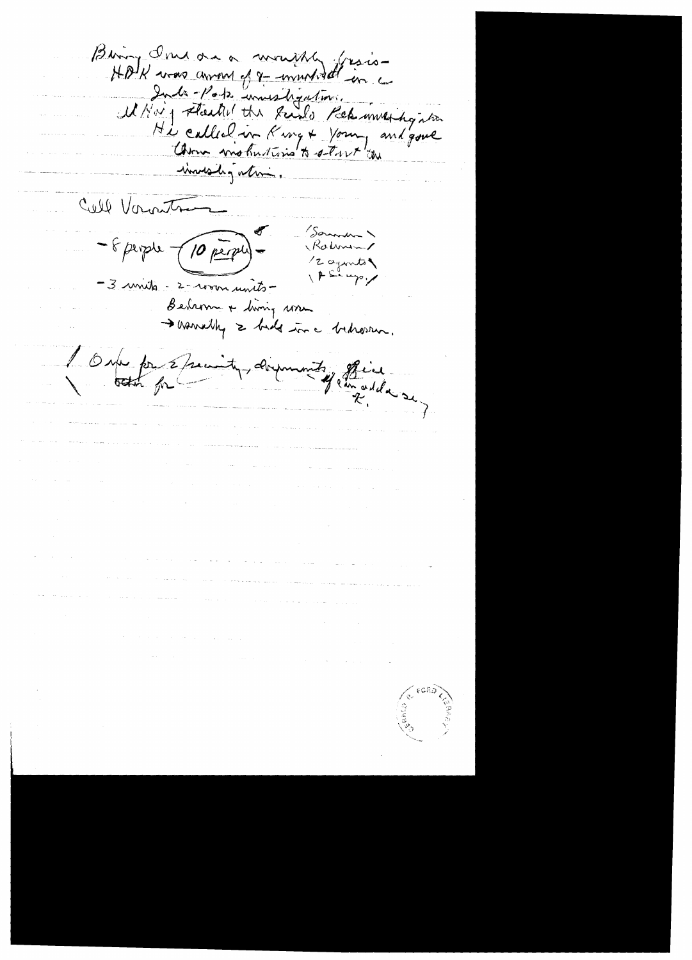Binoy Indone a monthly frais-Inde Pote immeritiquetions. MNay started the Rado Rek mark gater Hi called in King + Young and gove investigation. Cull Vorontre Sommer " - 8 perple  $(10 \text{ per}^{-1})$ Rohman 12 ayunts  $\sqrt{P}$  in up  $\gamma$ -3 minuts - 2-room units-Bedsom + diving some<br>> varrally = bids in a bedsom. I One for specialy, dominate of flies . The contract  $\mathcal{L}^{\mathcal{L}}$  is the contract of the contract of  $\mathcal{L}^{\mathcal{L}}$  $\label{eq:1} \nabla \mathcal{L} = \left\{ \begin{array}{ll} \mathcal{L}_{\text{max}} & \text{if} \quad \mathcal{L}_{\text{max}} \\ \mathcal{L}_{\text{max}} & \text{if} \quad \mathcal{L}_{\text{max}} \\ \mathcal{L}_{\text{max}} & \text{if} \quad \mathcal{L}_{\text{max}} \end{array} \right. \quad \text{and} \quad \mathcal{L}_{\text{max}}$  $\label{eq:2.1} \Psi_{\alpha\beta} = \Psi_{\alpha\beta} + \Psi_{\alpha\beta} \Psi_{\alpha\beta}$  $\label{eq:1} \frac{1}{\sqrt{2}}\left(\frac{1}{\sqrt{2}}\right)^{2} \left(\frac{1}{\sqrt{2}}\right)^{2} \left(\frac{1}{\sqrt{2}}\right)^{2} \left(\frac{1}{\sqrt{2}}\right)^{2} \left(\frac{1}{\sqrt{2}}\right)^{2} \left(\frac{1}{\sqrt{2}}\right)^{2} \left(\frac{1}{\sqrt{2}}\right)^{2} \left(\frac{1}{\sqrt{2}}\right)^{2} \left(\frac{1}{\sqrt{2}}\right)^{2} \left(\frac{1}{\sqrt{2}}\right)^{2} \left(\frac{1}{\sqrt{2}}\right)^{2} \left(\frac{$ المواطن المستعمل المتعاطف المتعارف المستعمر المتعارف المتعاطف المستعمل المستعمل المتعاطف المتعاطف المتعارف  $\mathcal{A}^{\mathcal{A}}$  and the state of the state of the state of the state of the state of the state of the  $\mathcal{A}$  $\label{eq:2.1} \frac{1}{\left\| \left( \frac{1}{\sqrt{2}} \right)^2 \right\|_{\mathcal{H}^1}^2} \leq \frac{1}{\sqrt{2}} \left( \frac{1}{\sqrt{2}} \right)^2 \leq \frac{1}{\sqrt{2}} \left( \frac{1}{\sqrt{2}} \right)^2 \leq \frac{1}{\sqrt{2}} \left( \frac{1}{\sqrt{2}} \right)^2 \leq \frac{1}{\sqrt{2}} \left( \frac{1}{\sqrt{2}} \right)^2 \leq \frac{1}{\sqrt{2}} \left( \frac{1}{\sqrt{2}} \right)^2 \leq \frac{1}{\sqrt{2}} \left( \frac$  $\label{eq:1} \mathcal{L}(\mathcal{L}(\mathcal{L})) = \mathcal{L}(\mathcal{L}(\mathcal{L})) = \mathcal{L}(\mathcal{L}(\mathcal{L})) = \mathcal{L}(\mathcal{L})$